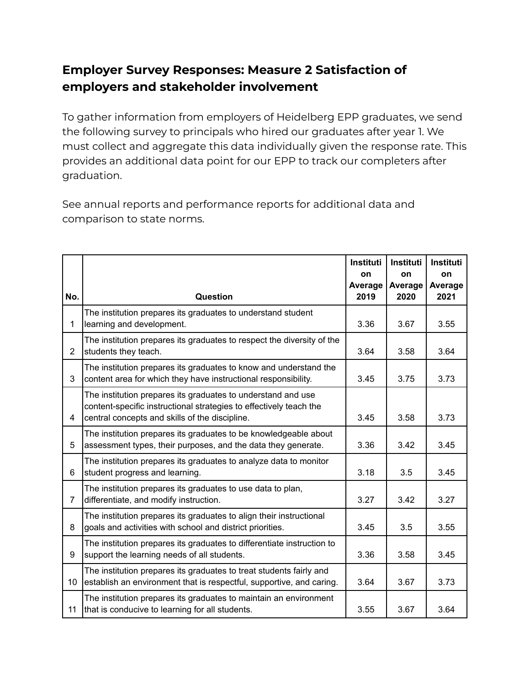## **Employer Survey Responses: Measure 2 Satisfaction of employers and stakeholder involvement**

To gather information from employers of Heidelberg EPP graduates, we send the following survey to principals who hired our graduates after year 1. We must collect and aggregate this data individually given the response rate. This provides an additional data point for our EPP to track our completers after graduation.

See annual reports and performance reports for additional data and comparison to state norms.

|                |                                                                                                                                                                                      | Instituti<br>on | Instituti<br>on | <b>Instituti</b><br>on |
|----------------|--------------------------------------------------------------------------------------------------------------------------------------------------------------------------------------|-----------------|-----------------|------------------------|
| No.            | Question                                                                                                                                                                             | Average<br>2019 | Average<br>2020 | Average<br>2021        |
| 1              | The institution prepares its graduates to understand student<br>learning and development.                                                                                            | 3.36            | 3.67            | 3.55                   |
| $\overline{2}$ | The institution prepares its graduates to respect the diversity of the<br>students they teach.                                                                                       | 3.64            | 3.58            | 3.64                   |
| 3              | The institution prepares its graduates to know and understand the<br>content area for which they have instructional responsibility.                                                  | 3.45            | 3.75            | 3.73                   |
| 4              | The institution prepares its graduates to understand and use<br>content-specific instructional strategies to effectively teach the<br>central concepts and skills of the discipline. | 3.45            | 3.58            | 3.73                   |
| 5              | The institution prepares its graduates to be knowledgeable about<br>assessment types, their purposes, and the data they generate.                                                    | 3.36            | 3.42            | 3.45                   |
| 6              | The institution prepares its graduates to analyze data to monitor<br>student progress and learning.                                                                                  | 3.18            | 3.5             | 3.45                   |
| $\overline{7}$ | The institution prepares its graduates to use data to plan,<br>differentiate, and modify instruction.                                                                                | 3.27            | 3.42            | 3.27                   |
| 8              | The institution prepares its graduates to align their instructional<br>goals and activities with school and district priorities.                                                     | 3.45            | 3.5             | 3.55                   |
| 9              | The institution prepares its graduates to differentiate instruction to<br>support the learning needs of all students.                                                                | 3.36            | 3.58            | 3.45                   |
| 10             | The institution prepares its graduates to treat students fairly and<br>establish an environment that is respectful, supportive, and caring.                                          | 3.64            | 3.67            | 3.73                   |
| 11             | The institution prepares its graduates to maintain an environment<br>that is conducive to learning for all students.                                                                 | 3.55            | 3.67            | 3.64                   |